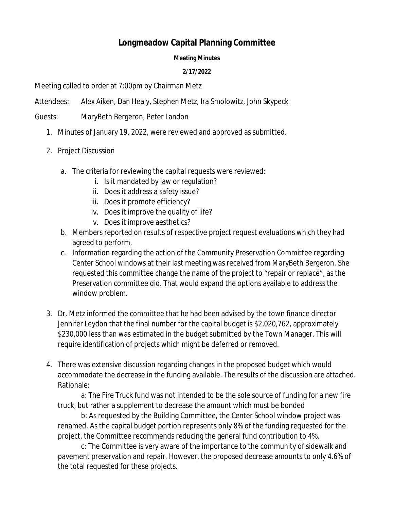## **Longmeadow Capital Planning Committee**

## **Meeting Minutes**

## **2/17/2022**

Meeting called to order at 7:00pm by Chairman Metz

Attendees: Alex Aiken, Dan Healy, Stephen Metz, Ira Smolowitz, John Skypeck

Guests: MaryBeth Bergeron, Peter Landon

- 1. Minutes of January 19, 2022, were reviewed and approved as submitted.
- 2. Project Discussion
	- a. The criteria for reviewing the capital requests were reviewed:
		- i. Is it mandated by law or regulation?
		- ii. Does it address a safety issue?
		- iii. Does it promote efficiency?
		- iv. Does it improve the quality of life?
		- v. Does it improve aesthetics?
	- b. Members reported on results of respective project request evaluations which they had agreed to perform.
	- c. Information regarding the action of the Community Preservation Committee regarding Center School windows at their last meeting was received from MaryBeth Bergeron. She requested this committee change the name of the project to "repair or replace", as the Preservation committee did. That would expand the options available to address the window problem.
- 3. Dr. Metz informed the committee that he had been advised by the town finance director Jennifer Leydon that the final number for the capital budget is \$2,020,762, approximately \$230,000 less than was estimated in the budget submitted by the Town Manager. This will require identification of projects which might be deferred or removed.
- 4. There was extensive discussion regarding changes in the proposed budget which would accommodate the decrease in the funding available. The results of the discussion are attached. Rationale:

a: The Fire Truck fund was not intended to be the sole source of funding for a new fire truck, but rather a supplement to decrease the amount which must be bonded

b: As requested by the Building Committee, the Center School window project was renamed. As the capital budget portion represents only 8% of the funding requested for the project, the Committee recommends reducing the general fund contribution to 4%.

c: The Committee is very aware of the importance to the community of sidewalk and pavement preservation and repair. However, the proposed decrease amounts to only 4.6% of the total requested for these projects.